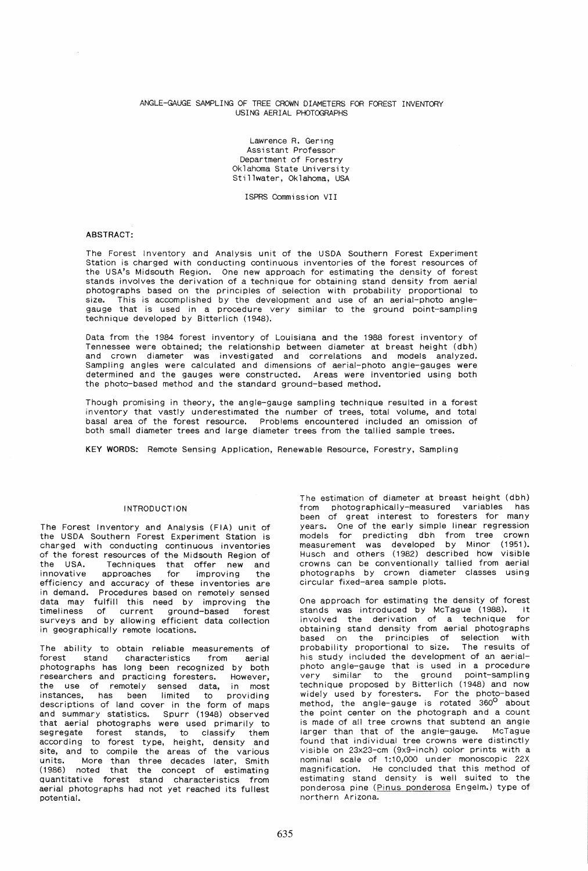#### ANGLE-GAUGE SAMPLING OF TREE CROWN DIAMETERS FOR FOREST INVENTORY USING AERIAL PHOTOGRAPHS

Lawrence R. Gering Assistant Professor Department of Forestry Oklahoma State University Stillwater, Oklahoma, USA

ISPRS Commission VII

#### ABSTRACT:

The Forest Inventory and Analysis unit of the USDA Southern Forest Experiment Station is charged with conducting continuous inventories of the forest resources of the USA's Midsouth Region. One new approach for estimating the density of forest stands involves the derivation of a technique for obtaining stand density from aerial photographs based on the principles of selection with probability proportional to size. This is accomplished by the development and use of an aerial-photo anglegauge that is used in a procedure very similar to the ground point-sampling technique developed by Bitterlich (1948).

Data from the 1984 forest inventory of Louisiana and the 1988 forest inventory of Tennessee were obtained; the relationship between diameter at breast height (dbh) and crown diameter was investigated and correlations and models analyzed. Sampling angles were calculated and dimensions of aerial-photo angle-gauges were determined and the gauges were constructed. Areas were inventoried using both the photo-based method and the standard ground-based method.

Though promising in theory, the angle-gauge sampling technique resulted in a forest inventory that vastly underestimated the number of trees, total volume, and total basal area of the forest resource. Problems encountered included an omission of both small diameter trees and large diameter trees from the tallied sample trees.

KEY WORDS: Remote Sensing Application, Renewable Resource, Forestry, Sampling

# INTRODUCTION

The Forest Inventory and Analysis (FIA) unit of the USDA Southern Forest Experiment Station is charged with conducting continuous inventories of the forest resources of the Midsouth Region of<br>the USA. Techniques that offer new and the USA. Techniques that offer new and innovative approaches for improving the efficiency and accuracy of these inventories are in demand. Procedures based on remotely sensed data may fulfill this need by improving the timeliness of current ground-based forest surveys and by allowing efficient data collection in geographically remote locations.

The ability to obtain reliable measurements of forest stand characteristics from aerial photographs has long been recognized by both researchers and practicing foresters. However,<br>the use of remotely sensed data, in most instances, has been limited to providing descriptions of land cover in the form of maps and summary statistics. Spurr (1948) observed that aerial photographs were used primarily to segregate forest stands, to classify them according to forest type, height, density and site, and to compile the areas of the various units. More than three decades later, Smith (1986) noted that the concept of estimating quantitative forest stand characteristics from aerial photographs had not yet reached its fullest potential.

The estimation of diameter at breast height (dbh) from photographically-measured variables has been of great interest to foresters for many years. One of the early simple linear regression models for predicting dbh from tree crown measurement was developed by Minor (1951). Husch and others (1982) described how visible crowns can be conventionally tallied from aerial photographs by crown diameter classes using circular fixed-area sample plots.

One approach for estimating the density of forest stands was introduced by McTague (1988). It involved the derivation of a technique for obtaining stand density from aerial photographs based on the principles of selection with probability proportional to size. The results of his study included the development of an aerialphoto angle-gauge that is used in a procedure very similar to the ground point-sampling technique proposed by Bitterlich (1948) and now widely used by foresters. For the photo-based<br>method, the angle-gauge is rotated 360<sup>0</sup> about the point center on the photograph and a count is made of all tree crowns that subtend an angle larger than that of the angle-gauge. McTague found that individual tree crowns were distinctly visible on 23x23-cm (9x9-inch) color prints with a nominal scale of 1:10,000 under monoscopic 22X magnification. He concluded that this method of estimating stand density is well suited to the ponderosa pine (Pinus ponderosa Engelm.) type of northern Arizona.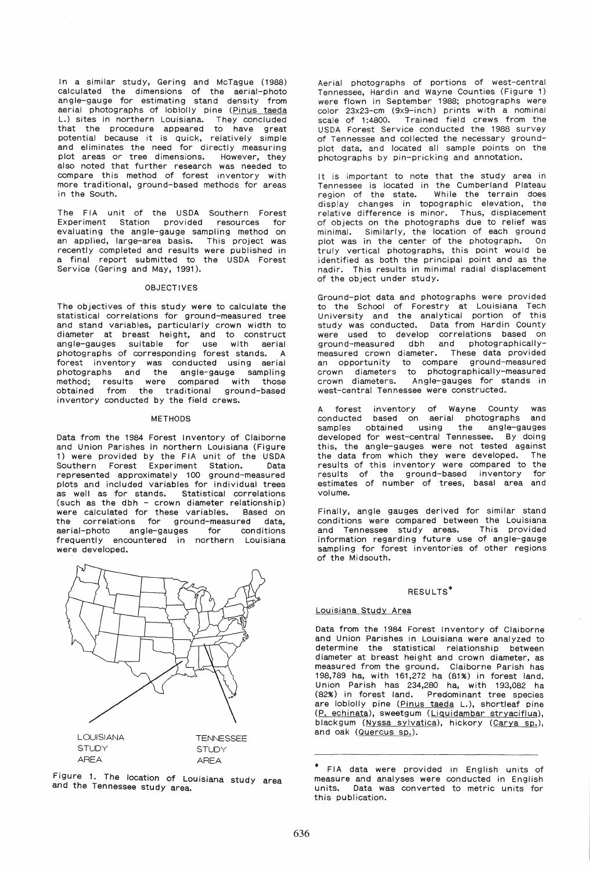In a similar study, Gering and McTague (1988) calculated the dimensions of the aerial-photo angle-gauge for estimating stand density from aerial photographs of loblolly pine (Pinus taeda L.) sites in northern Louisiana. They concluded that the procedure appeared to have great potential because it is quick, relatively simple and eliminates the need for directly measuring plot areas or tree dimensions. However, they also noted that further research was needed to compare this method of forest inventory with more traditional, ground-based methods for areas in the South.

The FIA unit of the USDA Southern Forest Experiment Station provided resources for evaluating the angle-gauge sampling method on an applied, large-area basis. This project was recently completed and results were published in a final report submitted to the USDA Forest Service (Gering and May, 1991).

#### **OBJECTIVES**

The objectives of this study were to calculate the statistical correlations for ground-measured tree and stand variables, particularly crown width to diameter at breast height, and to construct angle-gauges suitable for use with aerial photographs of corresponding forest stands. A forest inventory was conducted using aerial photographs and the angle-gauge sampling method; results were compared with those obtained from the traditional ground-based inventory conducted by the field crews.

## METHODS

Data from the 1984 Forest Inventory of Claiborne and Union Parishes in northern Louisiana (Figure 1) were provided by the FIA unit of the USDA Southern Forest Experiment Station. Data represented approximately 100 ground-measured plots and included variables for individual trees as well as for stands. Statistical correlations (such as the dbh - crown diameter relationship) were calculated for these variables. Based on the correlations for ground-measured data,<br>aerial-photo angle-gauges for conditions aerial-photo angle-gauges for frequently encountered in northern Louisiana were developed.



Figure 1. The location of Louisiana study area and the Tennessee study area.

Aerial photographs of portions of west-central Tennessee, Hardin and Wayne Counties (Figure 1) were flown in September 1988; photographs were color 23x23-cm (9x9-inch) prints with a nominal scale of 1:4800. Trained field crews from the USDA Forest Service conducted the 1988 survey of Tennessee and collected the necessary groundplot data, and located all sample points on the photographs by pin-pricking and annotation.

It is important to note that the study area in Tennessee is located in the Cumberland Plateau region of the state. While the terrain does display changes in topographic elevation, the relative difference is minor. Thus, displacement of objects on the photographs due to relief was minimal. Similarly, the location of each ground plot was in the center of the photograph. On truly vertical photographs, this point would be identified as both the principal point and as the nadir. This results in minimal radial displacement of the object under study.

Ground-plot data and photographs were provided to the School of Forestry at Louisiana Tech University and the analytical portion of this study was conducted. Data from Hardin County were used to develop correlations based on ground-measured dbh and photographicallymeasured crown diameter. These data provided an opportunity to compare ground-measured crown diameters to photographically-measured crown diameters. Angle-gauges for stands in west-central Tennessee were constructed.

A forest inventory of Wayne County was conducted based on aerial photographs and samples obtained using the angle-gauges developed for west-central Tennessee. By doing this, the angle-gauges were not tested against the data from which they were developed. The results of this inventory were compared to the results of the ground-based inventory for estimates of number of trees, basal area and volume.

Finally, angle gauges derived for similar stand conditions were compared between the Louisiana and Tennessee study areas. This provided information regarding future use of angle-gauge sampling for forest inventories of other regions of the Midsouth.

# RESULTS<sup>\*</sup>

#### Louisiana Study Area

Data from the 1984 Forest Inventory of Claiborne and Union Parishes in Louisiana were analyzed to determine the statistical relationship between diameter at breast height and crown diameter, as measured from the ground. Claiborne Parish has 198,789 ha, with 161,272 ha (81%) in forest land. Union Parish has 234,280 ha, with 193,082 ha (82%) in forest land. Predominant tree species are loblolly pine (Pinus taeda L.), shortleaf pine (P. echinata), sweetgum (Liquidambar stryaciflua), blackgum (Nyssa sylvatica), hickory (Carya sp.), and oak (Quercus sp.).

FIA data were provided in English units of measure and analyses were conducted in English units. Data was converted to metric units for this publication.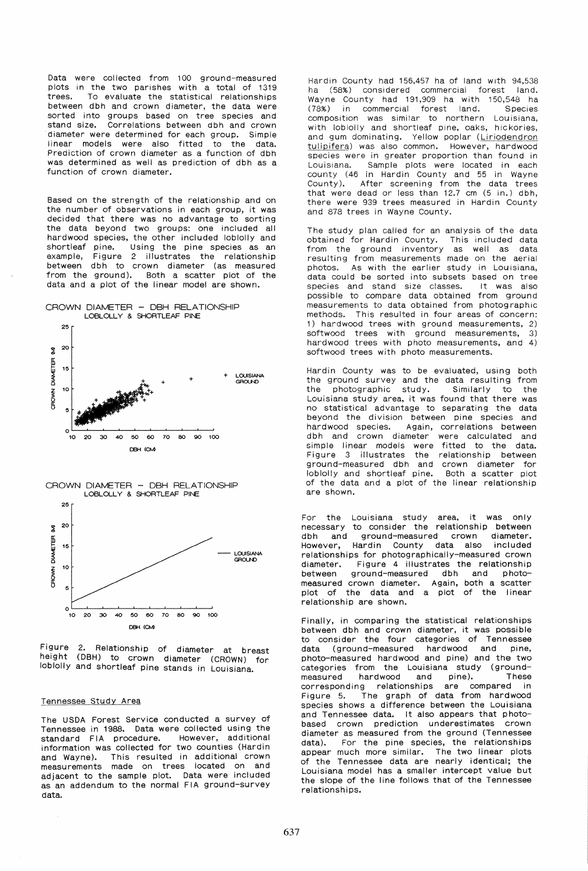Data were collected from 100 ground-measured plots in the two parishes with a total of 1319 trees. To evaluate the statistical relationships between dbh and crown diameter, the data were sorted into groups based on tree species and stand size. Correlations between dbh and crown diameter were determined for each group. Simple linear models were also fitted to the data. Prediction of crown diameter as a function of dbh was determined as well as prediction of dbh as a function of crown diameter.

Based on the strength of the relationship and on the number of observations in each group, it was decided that there was no advantage to sorting the data beyond two groups: one included all hardwood species, the other included loblolly and shortleaf pine. Using the pine species as an example, Figure 2 illustrates the relationship between dbh to crown diameter (as measured from the ground). Both a scatter plot of the data and a plot of the linear model are shown.









Figure 2. Relationship of diameter at breast height (DBH) to crown diameter (CROWN) for loblolly and shortleaf pine stands in Louisiana.

#### Tennessee Study Area

The USDA Forest Service conducted a survey of Tennessee in 1988. Data were collected using the standard FIA procedure. However, additional information was collected for two counties (Hardin and Wayne). This resulted in additional crown measurements made on trees located on and adjacent to the sample plot. Data were included as an addendum to the normal FIA ground-survey data.

Hardin County had 156,457 ha of land with 94,538 ha (58%) considered commercial forest land. Wayne County had 191,909 ha with 150,548 ha (78%) in commercial forest land. Species composition was similar to northern Louisiana, with loblolly and shortleaf pine, oaks, hickories, and gum dominating. Yellow poplar (Liriodendron tulipifera) was also common. However, hardwood species were in greater proportion than found in Louisiana. Sample plots were located in each county (46 in Hardin County and 55 in Wayne County). After screening from the data trees that were dead or less than 12.7 cm (5 in.) dbh, there were 939 trees measured in Hardin County and 878 trees in Wayne County.

The study plan called for an analysis of the data obtained for Hardin County. This included data from the ground inventory as well as data resulting from measurements made on the aerial photos. As with the earlier study in Louisiana, data could be sorted into subsets based on tree species and stand size classes. It was also possible to compare data obtained from ground measurements to data obtained from photographic methods. This resulted in four areas of concern: 1) hardwood trees with ground measurements, 2) softwood trees with ground measurements, 3) hardwood trees with photo measurements, and 4) softwood trees with photo measurements.

Hardin County was to be evaluated, using both the ground survey and the data resulting from<br>the photographic study. Similarly to the photographic Louisiana study area, it was found that there was no statistical advantage to separating the data beyond the division between pine species and hardwood species. Again, correlations between dbh and crown diameter were calculated and simple linear models were fitted to the data. Figure 3 illustrates the relationship between ground-measured dbh and crown diameter for<br>loblolly and shortleaf pine. Both a scatter piot loblolly and shortleaf pine. of the data and a plot of the linear relationship are shown.

For the Louisiana study area, it was only necessary to consider the relationship between<br>dbh and ground-measured crown diameter. dbh and ground-measured crown However, Hardin County data also included relationships for photographically-measured crown<br>diameter. Figure 4 illustrates the relationship Figure 4 illustrates the relationship between ground-measured dbh and photomeasured crown diameter. Again, both a scatter plot of the data and a plot of the linear relationship are shown.

Finally, in comparing the statistical relationships between dbh and crown diameter, it was possible to consider the four categories of Tennessee data (ground-measured hardwood and pine, photo-measured hardwood and pine) and the two categories from the Louisiana study (groundmeasured hardwood and pine). These<br>corresponding relationships are compared in corresponding relationships Figure 5. The graph of data from hardwood species shows a difference between the Louisiana and Tennessee data. It also appears that photobased crown prediction underestimates crown diameter as measured from the ground (Tennessee data). For the pine species, the relationships appear much more similar. The two linear plots of the Tennessee data are nearly identical; the Louisiana model has a smaller intercept value but the slope of the line follows that of the Tennessee relationships.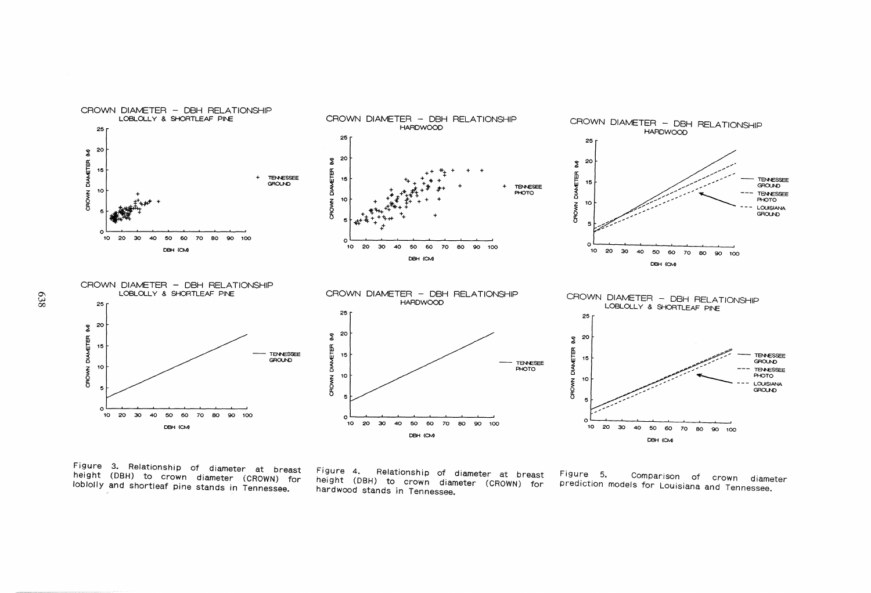

Figure 3. Relationship of diameter at breast height (DBH) to crown diameter (CROWN) for loblolly and shortleaf pine stands in Tennessee.

Figure 4. Relationship of diameter at breast height (DBH) to crown diameter (CROWN) for hardwood stands in Tennessee.

Figure 5. Comparison of crown diameter prediction models for Louisiana and Tennessee.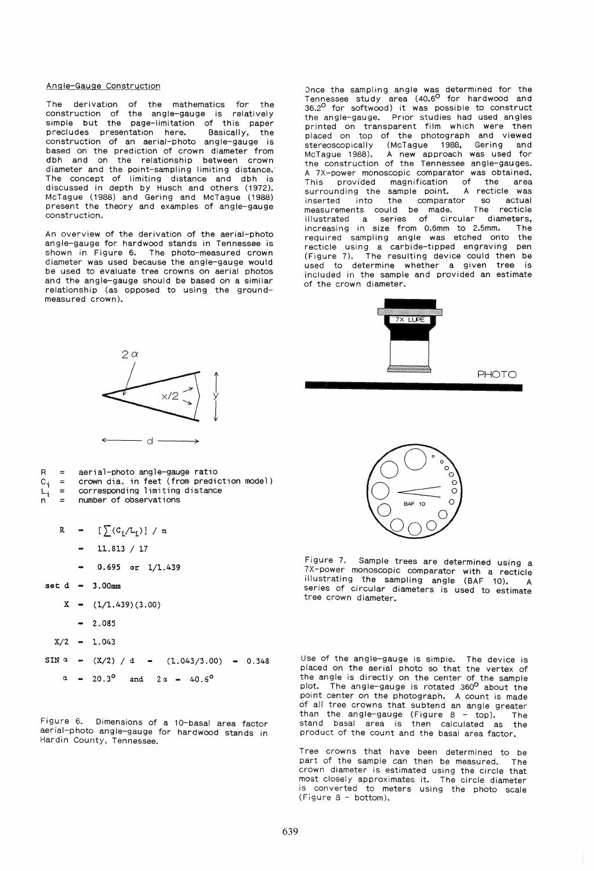#### Angle-Gauge Construction

The derivation of the mathematics for the construction of the angle-gauge is relatively simple but the page-limitation of this paper precludes presentation here. Basically, the construction of an aerial-photo angle-gauge is based on the prediction of crown diameter from dbh and on the relationship between crown diameter and the point-sampling limiting distance. The concept of limiting distance and dbh is discussed in depth by Husch and others (1972). McTague (1988) and Gering and McTague (1988) present the theory and examples of angle-gauge construction.

An overview of the derivation of the aerial-photo angle-gauge for hardwood stands in Tennessee is shown in Figure 6. The photo-measured crown diameter was used because the angle-gauge would be used to evaluate tree crowns on aerial photos and the angle-gauge should be based on a similar relationship (as opposed to using the groundmeasured crown).

Once the sampling angle was determined for the Tennessee study area (40.6<sup>0</sup> for hardwood and  $36.2^{\circ}$  for softwood) it was possible to construct the angle-gauge. Prior studies had used angles printed on transparent film which were then placed on top of the photograph and viewed<br>stereoscopically (McTague 1988, Gering and (McTague 1988, Gering McTague 1988). A new approach was used for the construction of the Tennessee angle-gauges. A 7X-power monoscopic comparator was obtained.<br>This provided magnification of the area This provided magnification of the area<br>surrounding the sample point. A recticle was surrounding the sample point. A recticle was inserted into the comparator so actual measurements could be made. The recticle iilustrated a series of circular diameters, increasing in size from 0.6mm to 2.5mm. The required sampling angle was etched onto the recticle using a carbide-tipped engraving pen (Figure 7). The resulting device could then be used to determine whether a given tree is included in the sample and provided an estimate of the crown diameter.



PHOTO



- aerial-photo angle-gauge ratio
- crown dia. in feet (from prediction model)  $c_i$  $\equiv$
- corresponding limiting distance  $\equiv$ L;  $=$  number of observations
	-

R =  $[\sum (C_i/L_i)] / n$ 

- 11. 813 / 17
- 0.695 or 1/1.439
- $set d = 3.00mm$

R

 $=$ 

- $X = (1/1.439)(3.00)$ 
	- $-2.085$
- $X/2 1.043$

 $SIN \; \alpha = (X/2) / d = (1.043/3.00) = 0.348$  $\alpha$  = 20.3<sup>o</sup> and 2  $\alpha$  = 40.6<sup>o</sup>

Figure 6. Dimensions of a i0-basal area factor aerial-photo angle-gauge for hardwood stands in Hardin County, Tennessee.



Figure 7. Sample trees are determined using a 7X-power monoscopic comparator with a recticle illustrating the sampling angle (BAF 10). series of circular diameters is used to estimate tree crown diameter.

Use of the angle-gauge is simple. The device is placed on the aerial photo so that the vertex of the angle is directly on the center of the sample plot. The angle-gauge is rotated 360<sup>0</sup> about the point center on the photograph. A count is made of all tree crowns that subtend an angle greater than the angle-gauge (Figure  $8 - top$ ). The stand basal area is then calculated as the product of the count and the basal area factor.

Tree crowns that have been determined to be part of the sample can then be measured. The crown diameter is estimated using the circle that most closely approximates it. The circle diameter is converted to meters using the photo scale (Figure 8 - bottom).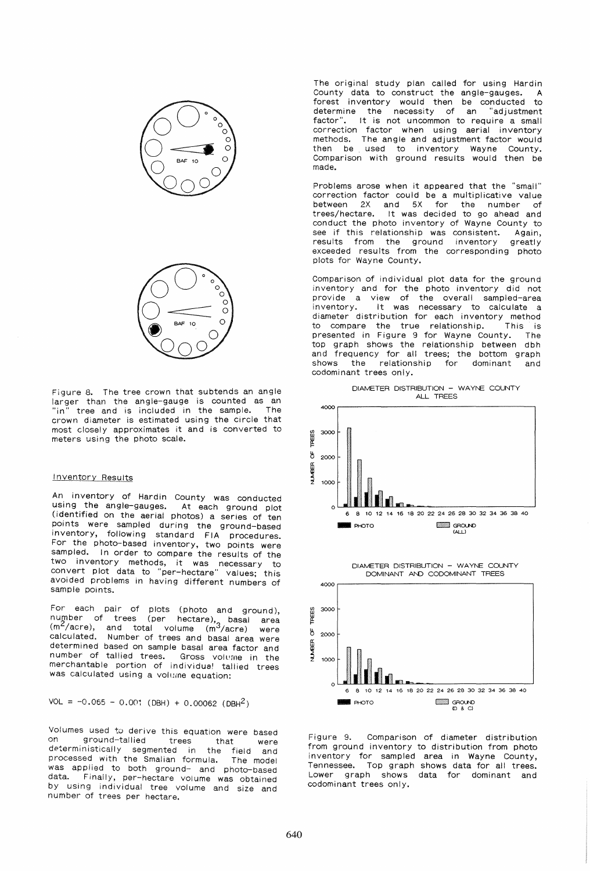



Figure 8. The tree crown that subtends an angle larger than the angle-gauge is counted as an<br>"in" tree and is included in the sample. The "in" tree and is included in the sample. crown diameter is estimated using the circle that most closely approximates it and is converted to meters using the photo scale.

#### Inventory Results

An inventory of Hardin County was conducted using the angle-gauges. At each ground plot (identified on the aerial photos) a series of ten points were sampled during the ground-based inventory, following standard FIA procedures. For the photo-based inventory, two points were sampled. In order to compare the results of the two inventory methods, it was necessary to convert plot data to "per-hectare" values: this avoided problems in having different numbers of sample points.

For each pair of plots (photo and ground), number of trees (per hectare), basal area<br>(m<sup>2</sup>/acre), and total volume (m<sup>3</sup>/acre) were calculated. Number of trees and basal area were determined based on sample basal area factor and number of tallied trees. Gross voluine in the merchantable portion of individual tallied trees was calculated using a volume equation:

 $VOL = -0.065 - 0.001$  (DBH) + 0.00062 (DBH<sup>2</sup>)

Vol umes used to derive this equation were based on ground-tallied trees that were deterministically segmented in the field and processed with the Smalian formula. The model was applied to both ground- and photo-based data. Finally, per-hectare volume was obtained by using individual tree volume and size and number of trees per hectare.

The original study plan called for using Hardin County data to construct the angle-gauges. forest inventory would then be conducted to determine the necessity of an "adjustment factor". It is not uncommon to require a small correction factor when using aerial inventory methods. The angle and adjustment factor would then be used to inventory Wayne County. Comparison with ground results would then be made.

Problems arose when it appeared that the "small" correction factor could be a multiplicative value<br>between 2X and 5X for the number of between 2X and 5X for trees/hectare. It was decided to go ahead and conduct the photo inventory of Wayne County to see if this relationship was consistent. Again,<br>results from the ground inventory greatly results from the ground inventory exceeded results from the corresponding photo plots for Wayne County.

Comparison of individual plot data for the ground inventory and for the photo inventory did not provide a view of the overall sampled-area inventory. It was necessary to calculate a diameter distribution for each inventory method to compare the true relationship. This is to compare the true relationship. This is<br>presented in Figure 9 for Wayne County. The top graph shows the relationship between dbh and frequency for all trees; the bottom graph shows the relationship for dominant and codominant trees only.





Figure 9. Comparison of diameter distribution from ground inventory to distribution from photo inventory for sampled area in Wayne County, Tennessee. Top graph shows data for all trees. Lower graph shows data for dominant and codominant trees only.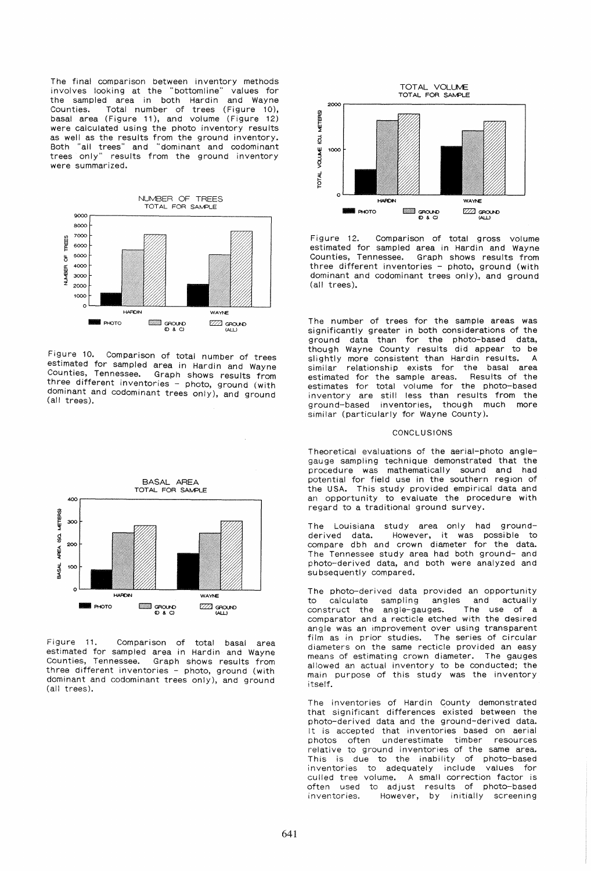The final comparison between inventory methods involves looking at the "bottomline" values for the sampled area in both Hardin and Wayne Counties. Total number of trees (Figure 10), basal area (Figure 11), and volume (Figure 12) were calculated using the photo inventory results as well as the results from the ground inventory. 80th "all trees" and "dominant and codominant trees only" results from the ground inventory were summarized.



Figure 10. Comparison of total number of trees estimated for sampled area in Hardin and Wayne Counties, Tennessee. Graph shows results from three different inventories - photo, ground (with dominant and codominant trees only), and ground (all trees),



Figure 11. Comparison of total basal area estimated for sampled area in Hardin and Wayne Counties, Tennessee. Graph shows results from three different inventories - photo, ground (with dominant and codominant trees only), and ground (all trees).



Figure 12. Comparison of total gross volume estimated for sampled area in Hardin and Wayne Counties, Tennessee. Graph shows results from three different inventories - photo, ground (with dominant and codominant trees only), and ground (all trees).

The number of trees for the sample areas was significantly greater in both considerations of the ground data than for the photo-based data, though Wayne County results did appear to be slightly more consistent than Hardin results. A similar relationship exists for the basal area estimated for the sample areas. Results of the estimates for total volume for the photo-based inventory are still less than results from the ground-based inventories, though much more similar (particularly for Wayne County).

## **CONCLUSIONS**

Theoretical evaluations of the aerial-photo anglegauge sampling technique demonstrated that the procedure was mathematically sound and had potential for field use in the southern region of the USA. This study provided empirical data and an opportunity to evaluate the procedure with regard to a traditional ground survey.

The Louisiana study area only had groundderived data. However, it was possible to compare dbh and crown diameter for the data. The Tennessee study area had both ground- and photo-derived data, and both were analyzed and su bsequently compared.

The photo-derived data provided an opportunity to calculate sampling angles and actually construct the angle-gauges. The use of a comparator and a recticle etched with the desired angle was an improvement over using transparent film as in prior studies. The series of circular diameters on the same recticle provided an easy means of estimating crown diameter. The gauges allowed an actual inventory to be conducted; the main purpose of this study was the inventory itself.

The inventories of Hardin County demonstrated that significant differences existed between the photo-derived data and the ground-derived data. It is accepted that inventories based on aerial photos often underestimate timber resources relative to ground inventories of the same area. This is due to the inability of photo-based inventories to adequately include values for culled tree volume. A small correction factor is often used to adjust results of photo-based inventories. However, by initially screening